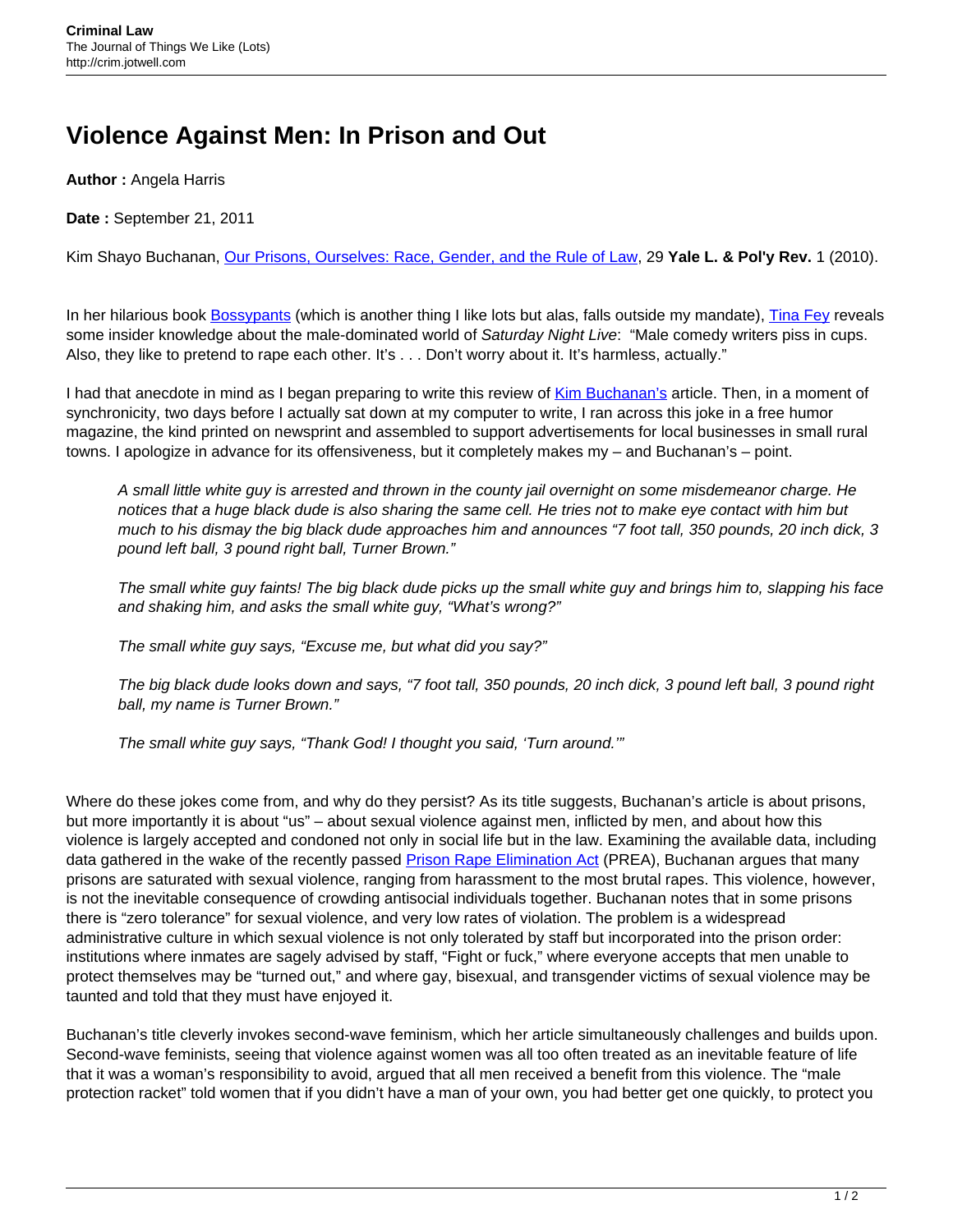## **Violence Against Men: In Prison and Out**

**Author :** Angela Harris

**Date :** September 21, 2011

Kim Shayo Buchanan, [Our Prisons, Ourselves: Race, Gender, and the Rule of Law,](http://yalelawandpolicy.org/29-1/our-prisons-ourselves-race-gender-and-the-rule-of-law) 29 **Yale L. & Pol'y Rev.** 1 (2010).

In her hilarious book **Bossypants** (which is another thing I like lots but alas, falls outside my mandate), *Tina Fey reveals* some insider knowledge about the male-dominated world of Saturday Night Live: "Male comedy writers piss in cups. Also, they like to pretend to rape each other. It's . . . Don't worry about it. It's harmless, actually."

I had that anecdote in mind as I began preparing to write this review of [Kim Buchanan's](http://weblaw.usc.edu/contact/contactInfo.cfm?detailID=67725) article. Then, in a moment of synchronicity, two days before I actually sat down at my computer to write, I ran across this joke in a free humor magazine, the kind printed on newsprint and assembled to support advertisements for local businesses in small rural towns. I apologize in advance for its offensiveness, but it completely makes my – and Buchanan's – point.

A small little white guy is arrested and thrown in the county jail overnight on some misdemeanor charge. He notices that a huge black dude is also sharing the same cell. He tries not to make eye contact with him but much to his dismay the big black dude approaches him and announces "7 foot tall, 350 pounds, 20 inch dick, 3 pound left ball, 3 pound right ball, Turner Brown."

The small white guy faints! The big black dude picks up the small white guy and brings him to, slapping his face and shaking him, and asks the small white guy, "What's wrong?"

The small white guy says, "Excuse me, but what did you say?"

The big black dude looks down and says, "7 foot tall, 350 pounds, 20 inch dick, 3 pound left ball, 3 pound right ball, my name is Turner Brown."

The small white guy says, "Thank God! I thought you said, 'Turn around.'"

Where do these jokes come from, and why do they persist? As its title suggests, Buchanan's article is about prisons, but more importantly it is about "us" – about sexual violence against men, inflicted by men, and about how this violence is largely accepted and condoned not only in social life but in the law. Examining the available data, including data gathered in the wake of the recently passed [Prison Rape Elimination Act](http://www.ojp.usdoj.gov/programs/prisonrapeelimination.htm) (PREA), Buchanan argues that many prisons are saturated with sexual violence, ranging from harassment to the most brutal rapes. This violence, however, is not the inevitable consequence of crowding antisocial individuals together. Buchanan notes that in some prisons there is "zero tolerance" for sexual violence, and very low rates of violation. The problem is a widespread administrative culture in which sexual violence is not only tolerated by staff but incorporated into the prison order: institutions where inmates are sagely advised by staff, "Fight or fuck," where everyone accepts that men unable to protect themselves may be "turned out," and where gay, bisexual, and transgender victims of sexual violence may be taunted and told that they must have enjoyed it.

Buchanan's title cleverly invokes second-wave feminism, which her article simultaneously challenges and builds upon. Second-wave feminists, seeing that violence against women was all too often treated as an inevitable feature of life that it was a woman's responsibility to avoid, argued that all men received a benefit from this violence. The "male protection racket" told women that if you didn't have a man of your own, you had better get one quickly, to protect you